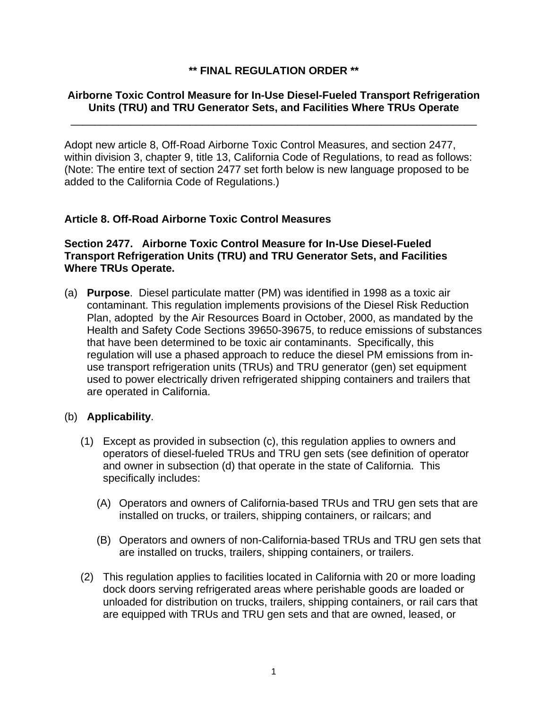## **\*\* FINAL REGULATION ORDER \*\***

### **Airborne Toxic Control Measure for In-Use Diesel-Fueled Transport Refrigeration Units (TRU) and TRU Generator Sets, and Facilities Where TRUs Operate**

\_\_\_\_\_\_\_\_\_\_\_\_\_\_\_\_\_\_\_\_\_\_\_\_\_\_\_\_\_\_\_\_\_\_\_\_\_\_\_\_\_\_\_\_\_\_\_\_\_\_\_\_\_\_\_\_\_\_\_\_\_\_\_\_\_\_\_\_

Adopt new article 8, Off-Road Airborne Toxic Control Measures, and section 2477, within division 3, chapter 9, title 13, California Code of Regulations, to read as follows: (Note: The entire text of section 2477 set forth below is new language proposed to be added to the California Code of Regulations.)

### **Article 8. Off-Road Airborne Toxic Control Measures**

## **Section 2477. Airborne Toxic Control Measure for In-Use Diesel-Fueled Transport Refrigeration Units (TRU) and TRU Generator Sets, and Facilities Where TRUs Operate.**

(a) **Purpose**. Diesel particulate matter (PM) was identified in 1998 as a toxic air contaminant. This regulation implements provisions of the Diesel Risk Reduction Plan, adopted by the Air Resources Board in October, 2000, as mandated by the Health and Safety Code Sections 39650-39675, to reduce emissions of substances that have been determined to be toxic air contaminants. Specifically, this regulation will use a phased approach to reduce the diesel PM emissions from inuse transport refrigeration units (TRUs) and TRU generator (gen) set equipment used to power electrically driven refrigerated shipping containers and trailers that are operated in California.

### (b) **Applicability**.

- (1) Except as provided in subsection (c), this regulation applies to owners and operators of diesel-fueled TRUs and TRU gen sets (see definition of operator and owner in subsection (d) that operate in the state of California. This specifically includes:
	- (A) Operators and owners of California-based TRUs and TRU gen sets that are installed on trucks, or trailers, shipping containers, or railcars; and
	- (B) Operators and owners of non-California-based TRUs and TRU gen sets that are installed on trucks, trailers, shipping containers, or trailers.
- (2) This regulation applies to facilities located in California with 20 or more loading dock doors serving refrigerated areas where perishable goods are loaded or unloaded for distribution on trucks, trailers, shipping containers, or rail cars that are equipped with TRUs and TRU gen sets and that are owned, leased, or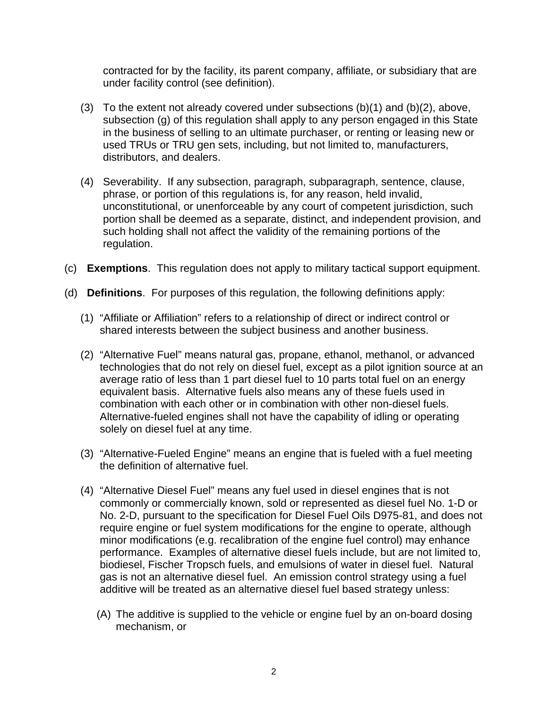contracted for by the facility, its parent company, affiliate, or subsidiary that are under facility control (see definition).

- (3) To the extent not already covered under subsections  $(b)(1)$  and  $(b)(2)$ , above, subsection (g) of this regulation shall apply to any person engaged in this State in the business of selling to an ultimate purchaser, or renting or leasing new or used TRUs or TRU gen sets, including, but not limited to, manufacturers, distributors, and dealers.
- (4) Severability. If any subsection, paragraph, subparagraph, sentence, clause, phrase, or portion of this regulations is, for any reason, held invalid, unconstitutional, or unenforceable by any court of competent jurisdiction, such portion shall be deemed as a separate, distinct, and independent provision, and such holding shall not affect the validity of the remaining portions of the regulation.
- (c) **Exemptions**. This regulation does not apply to military tactical support equipment.
- (d) **Definitions**. For purposes of this regulation, the following definitions apply:
	- (1) "Affiliate or Affiliation" refers to a relationship of direct or indirect control or shared interests between the subject business and another business.
	- (2) "Alternative Fuel" means natural gas, propane, ethanol, methanol, or advanced technologies that do not rely on diesel fuel, except as a pilot ignition source at an average ratio of less than 1 part diesel fuel to 10 parts total fuel on an energy equivalent basis. Alternative fuels also means any of these fuels used in combination with each other or in combination with other non-diesel fuels. Alternative-fueled engines shall not have the capability of idling or operating solely on diesel fuel at any time.
	- (3) "Alternative-Fueled Engine" means an engine that is fueled with a fuel meeting the definition of alternative fuel.
	- (4) "Alternative Diesel Fuel" means any fuel used in diesel engines that is not commonly or commercially known, sold or represented as diesel fuel No. 1-D or No. 2-D, pursuant to the specification for Diesel Fuel Oils D975-81, and does not require engine or fuel system modifications for the engine to operate, although minor modifications (e.g. recalibration of the engine fuel control) may enhance performance. Examples of alternative diesel fuels include, but are not limited to, biodiesel, Fischer Tropsch fuels, and emulsions of water in diesel fuel. Natural gas is not an alternative diesel fuel. An emission control strategy using a fuel additive will be treated as an alternative diesel fuel based strategy unless:
		- (A) The additive is supplied to the vehicle or engine fuel by an on-board dosing mechanism, or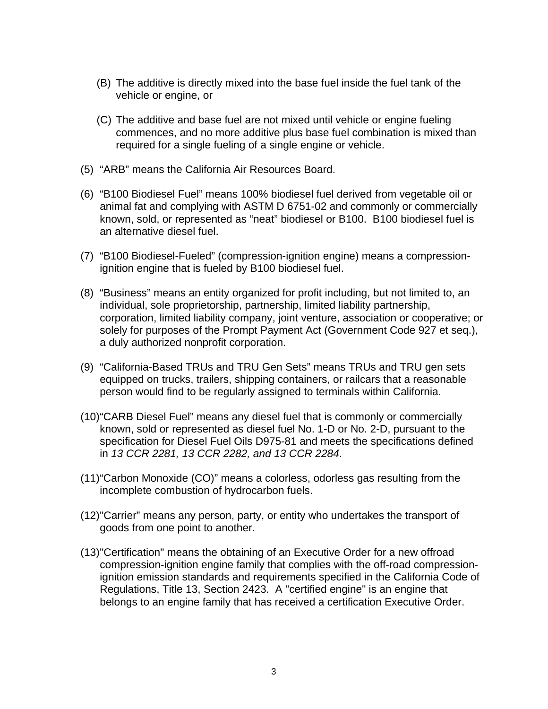- (B) The additive is directly mixed into the base fuel inside the fuel tank of the vehicle or engine, or
- (C) The additive and base fuel are not mixed until vehicle or engine fueling commences, and no more additive plus base fuel combination is mixed than required for a single fueling of a single engine or vehicle.
- (5) "ARB" means the California Air Resources Board.
- (6) "B100 Biodiesel Fuel" means 100% biodiesel fuel derived from vegetable oil or animal fat and complying with ASTM D 6751-02 and commonly or commercially known, sold, or represented as "neat" biodiesel or B100. B100 biodiesel fuel is an alternative diesel fuel.
- (7) "B100 Biodiesel-Fueled" (compression-ignition engine) means a compressionignition engine that is fueled by B100 biodiesel fuel.
- (8) "Business" means an entity organized for profit including, but not limited to, an individual, sole proprietorship, partnership, limited liability partnership, corporation, limited liability company, joint venture, association or cooperative; or solely for purposes of the Prompt Payment Act (Government Code 927 et seq.), a duly authorized nonprofit corporation.
- (9) "California-Based TRUs and TRU Gen Sets" means TRUs and TRU gen sets equipped on trucks, trailers, shipping containers, or railcars that a reasonable person would find to be regularly assigned to terminals within California.
- (10) "CARB Diesel Fuel" means any diesel fuel that is commonly or commercially known, sold or represented as diesel fuel No. 1-D or No. 2-D, pursuant to the specification for Diesel Fuel Oils D975-81 and meets the specifications defined in *13 CCR 2281, 13 CCR 2282, and 13 CCR 2284*.
- (11) "Carbon Monoxide (CO)" means a colorless, odorless gas resulting from the incomplete combustion of hydrocarbon fuels.
- (12) "Carrier" means any person, party, or entity who undertakes the transport of goods from one point to another.
- (13) "Certification" means the obtaining of an Executive Order for a new offroad compression-ignition engine family that complies with the off-road compressionignition emission standards and requirements specified in the California Code of Regulations, Title 13, Section 2423. A "certified engine" is an engine that belongs to an engine family that has received a certification Executive Order.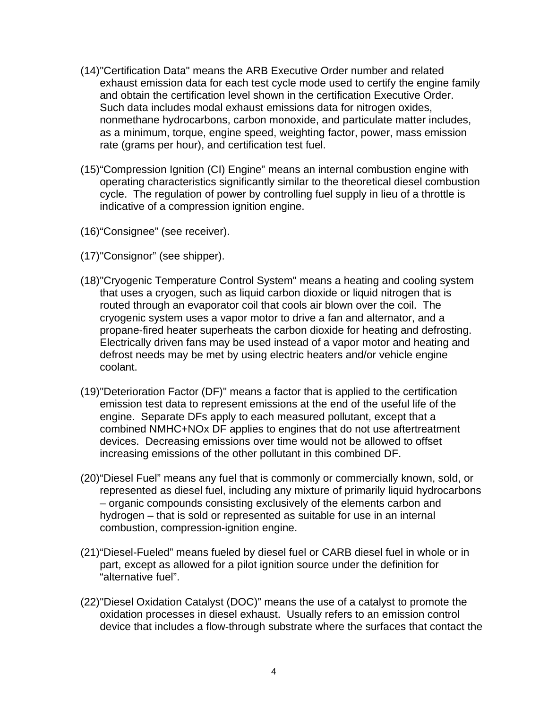- (14) "Certification Data" means the ARB Executive Order number and related exhaust emission data for each test cycle mode used to certify the engine family and obtain the certification level shown in the certification Executive Order. Such data includes modal exhaust emissions data for nitrogen oxides, nonmethane hydrocarbons, carbon monoxide, and particulate matter includes, as a minimum, torque, engine speed, weighting factor, power, mass emission rate (grams per hour), and certification test fuel.
- (15) "Compression Ignition (CI) Engine" means an internal combustion engine with operating characteristics significantly similar to the theoretical diesel combustion cycle. The regulation of power by controlling fuel supply in lieu of a throttle is indicative of a compression ignition engine.
- (16) "Consignee" (see receiver).
- (17) "Consignor" (see shipper).
- (18) "Cryogenic Temperature Control System" means a heating and cooling system that uses a cryogen, such as liquid carbon dioxide or liquid nitrogen that is routed through an evaporator coil that cools air blown over the coil. The cryogenic system uses a vapor motor to drive a fan and alternator, and a propane-fired heater superheats the carbon dioxide for heating and defrosting. Electrically driven fans may be used instead of a vapor motor and heating and defrost needs may be met by using electric heaters and/or vehicle engine coolant.
- (19) "Deterioration Factor (DF)" means a factor that is applied to the certification emission test data to represent emissions at the end of the useful life of the engine. Separate DFs apply to each measured pollutant, except that a combined NMHC+NOx DF applies to engines that do not use aftertreatment devices. Decreasing emissions over time would not be allowed to offset increasing emissions of the other pollutant in this combined DF.
- (20) "Diesel Fuel" means any fuel that is commonly or commercially known, sold, or represented as diesel fuel, including any mixture of primarily liquid hydrocarbons – organic compounds consisting exclusively of the elements carbon and hydrogen – that is sold or represented as suitable for use in an internal combustion, compression-ignition engine.
- (21) "Diesel-Fueled" means fueled by diesel fuel or CARB diesel fuel in whole or in part, except as allowed for a pilot ignition source under the definition for "alternative fuel".
- (22) "Diesel Oxidation Catalyst (DOC)" means the use of a catalyst to promote the oxidation processes in diesel exhaust. Usually refers to an emission control device that includes a flow-through substrate where the surfaces that contact the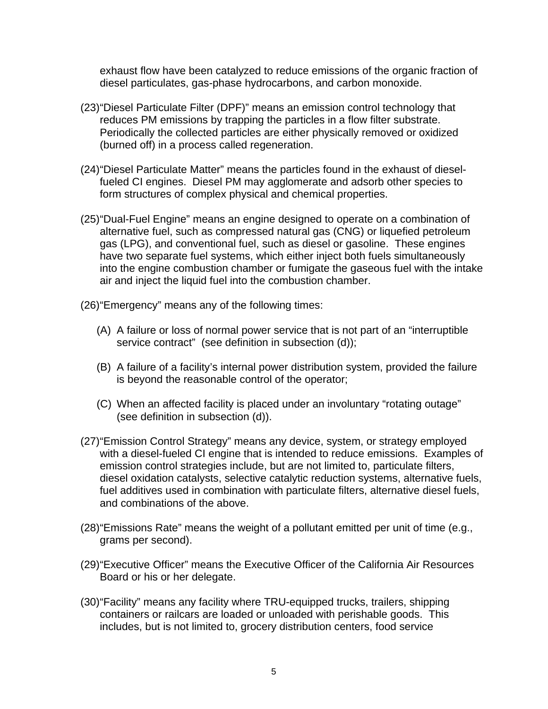exhaust flow have been catalyzed to reduce emissions of the organic fraction of diesel particulates, gas-phase hydrocarbons, and carbon monoxide.

- (23) "Diesel Particulate Filter (DPF)" means an emission control technology that reduces PM emissions by trapping the particles in a flow filter substrate. Periodically the collected particles are either physically removed or oxidized (burned off) in a process called regeneration.
- (24) "Diesel Particulate Matter" means the particles found in the exhaust of dieselfueled CI engines. Diesel PM may agglomerate and adsorb other species to form structures of complex physical and chemical properties.
- (25) "Dual-Fuel Engine" means an engine designed to operate on a combination of alternative fuel, such as compressed natural gas (CNG) or liquefied petroleum gas (LPG), and conventional fuel, such as diesel or gasoline. These engines have two separate fuel systems, which either inject both fuels simultaneously into the engine combustion chamber or fumigate the gaseous fuel with the intake air and inject the liquid fuel into the combustion chamber.

(26) "Emergency" means any of the following times:

- (A) A failure or loss of normal power service that is not part of an "interruptible service contract" (see definition in subsection (d));
- (B) A failure of a facility's internal power distribution system, provided the failure is beyond the reasonable control of the operator;
- (C) When an affected facility is placed under an involuntary "rotating outage" (see definition in subsection (d)).
- (27) "Emission Control Strategy" means any device, system, or strategy employed with a diesel-fueled CI engine that is intended to reduce emissions. Examples of emission control strategies include, but are not limited to, particulate filters, diesel oxidation catalysts, selective catalytic reduction systems, alternative fuels, fuel additives used in combination with particulate filters, alternative diesel fuels, and combinations of the above.
- (28) "Emissions Rate" means the weight of a pollutant emitted per unit of time (e.g., grams per second).
- (29) "Executive Officer" means the Executive Officer of the California Air Resources Board or his or her delegate.
- (30) "Facility" means any facility where TRU-equipped trucks, trailers, shipping containers or railcars are loaded or unloaded with perishable goods. This includes, but is not limited to, grocery distribution centers, food service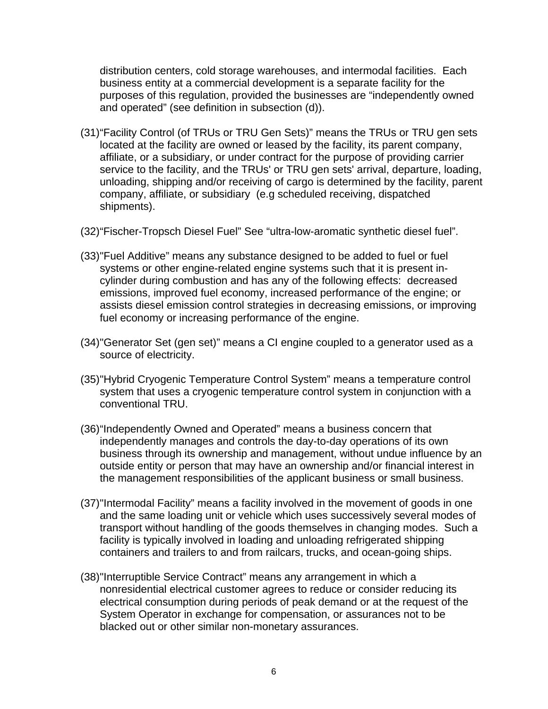distribution centers, cold storage warehouses, and intermodal facilities. Each business entity at a commercial development is a separate facility for the purposes of this regulation, provided the businesses are "independently owned and operated" (see definition in subsection (d)).

- (31) "Facility Control (of TRUs or TRU Gen Sets)" means the TRUs or TRU gen sets located at the facility are owned or leased by the facility, its parent company, affiliate, or a subsidiary, or under contract for the purpose of providing carrier service to the facility, and the TRUs' or TRU gen sets' arrival, departure, loading, unloading, shipping and/or receiving of cargo is determined by the facility, parent company, affiliate, or subsidiary (e.g scheduled receiving, dispatched shipments).
- (32) "Fischer-Tropsch Diesel Fuel" See "ultra-low-aromatic synthetic diesel fuel".
- (33) "Fuel Additive" means any substance designed to be added to fuel or fuel systems or other engine-related engine systems such that it is present incylinder during combustion and has any of the following effects: decreased emissions, improved fuel economy, increased performance of the engine; or assists diesel emission control strategies in decreasing emissions, or improving fuel economy or increasing performance of the engine.
- (34) "Generator Set (gen set)" means a CI engine coupled to a generator used as a source of electricity.
- (35) "Hybrid Cryogenic Temperature Control System" means a temperature control system that uses a cryogenic temperature control system in conjunction with a conventional TRU.
- (36) "Independently Owned and Operated" means a business concern that independently manages and controls the day-to-day operations of its own business through its ownership and management, without undue influence by an outside entity or person that may have an ownership and/or financial interest in the management responsibilities of the applicant business or small business.
- (37) "Intermodal Facility" means a facility involved in the movement of goods in one and the same loading unit or vehicle which uses successively several modes of transport without handling of the goods themselves in changing modes. Such a facility is typically involved in loading and unloading refrigerated shipping containers and trailers to and from railcars, trucks, and ocean-going ships.
- (38) "Interruptible Service Contract" means any arrangement in which a nonresidential electrical customer agrees to reduce or consider reducing its electrical consumption during periods of peak demand or at the request of the System Operator in exchange for compensation, or assurances not to be blacked out or other similar non-monetary assurances.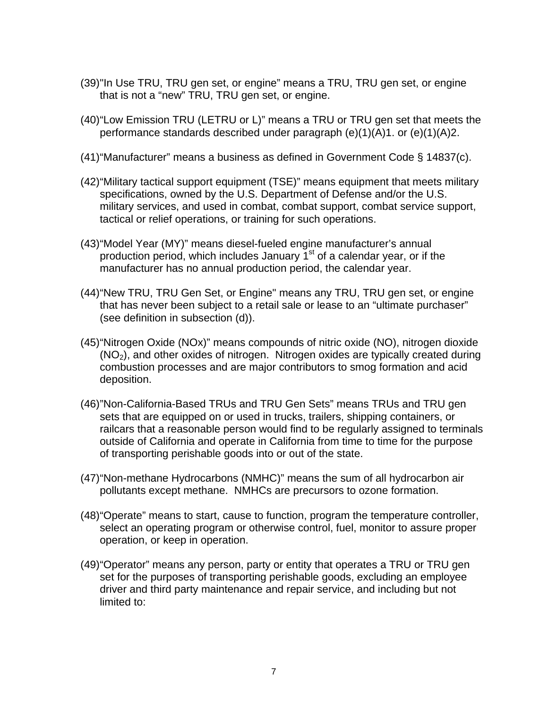- (39) "In Use TRU, TRU gen set, or engine" means a TRU, TRU gen set, or engine that is not a "new" TRU, TRU gen set, or engine.
- (40) "Low Emission TRU (LETRU or L)" means a TRU or TRU gen set that meets the performance standards described under paragraph (e)(1)(A)1. or (e)(1)(A)2.
- (41) "Manufacturer" means a business as defined in Government Code § 14837(c).
- (42) "Military tactical support equipment (TSE)" means equipment that meets military specifications, owned by the U.S. Department of Defense and/or the U.S. military services, and used in combat, combat support, combat service support, tactical or relief operations, or training for such operations.
- (43) "Model Year (MY)" means diesel-fueled engine manufacturer's annual production period, which includes January  $1<sup>st</sup>$  of a calendar year, or if the manufacturer has no annual production period, the calendar year.
- (44) "New TRU, TRU Gen Set, or Engine" means any TRU, TRU gen set, or engine that has never been subject to a retail sale or lease to an "ultimate purchaser" (see definition in subsection (d)).
- (45) "Nitrogen Oxide (NOx)" means compounds of nitric oxide (NO), nitrogen dioxide  $(NO<sub>2</sub>)$ , and other oxides of nitrogen. Nitrogen oxides are typically created during combustion processes and are major contributors to smog formation and acid deposition.
- (46) "Non-California-Based TRUs and TRU Gen Sets" means TRUs and TRU gen sets that are equipped on or used in trucks, trailers, shipping containers, or railcars that a reasonable person would find to be regularly assigned to terminals outside of California and operate in California from time to time for the purpose of transporting perishable goods into or out of the state.
- (47) "Non-methane Hydrocarbons (NMHC)" means the sum of all hydrocarbon air pollutants except methane. NMHCs are precursors to ozone formation.
- (48) "Operate" means to start, cause to function, program the temperature controller, select an operating program or otherwise control, fuel, monitor to assure proper operation, or keep in operation.
- (49) "Operator" means any person, party or entity that operates a TRU or TRU gen set for the purposes of transporting perishable goods, excluding an employee driver and third party maintenance and repair service, and including but not limited to: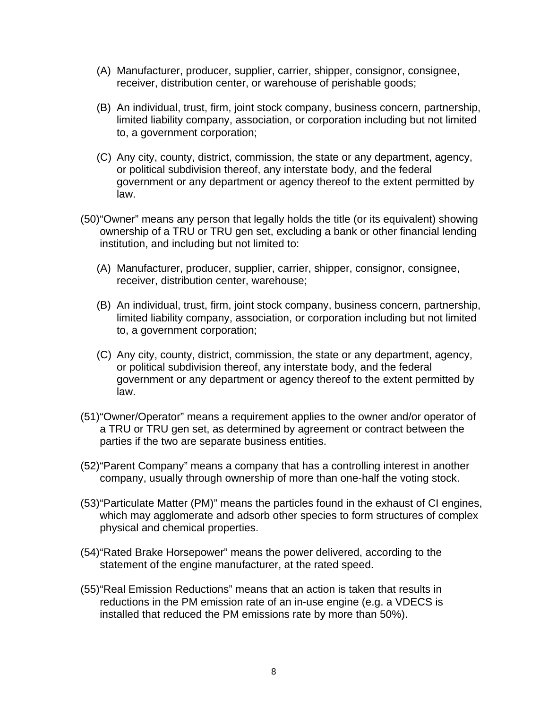- (A) Manufacturer, producer, supplier, carrier, shipper, consignor, consignee, receiver, distribution center, or warehouse of perishable goods;
- (B) An individual, trust, firm, joint stock company, business concern, partnership, limited liability company, association, or corporation including but not limited to, a government corporation;
- (C) Any city, county, district, commission, the state or any department, agency, or political subdivision thereof, any interstate body, and the federal government or any department or agency thereof to the extent permitted by law.
- (50) "Owner" means any person that legally holds the title (or its equivalent) showing ownership of a TRU or TRU gen set, excluding a bank or other financial lending institution, and including but not limited to:
	- (A) Manufacturer, producer, supplier, carrier, shipper, consignor, consignee, receiver, distribution center, warehouse;
	- (B) An individual, trust, firm, joint stock company, business concern, partnership, limited liability company, association, or corporation including but not limited to, a government corporation;
	- (C) Any city, county, district, commission, the state or any department, agency, or political subdivision thereof, any interstate body, and the federal government or any department or agency thereof to the extent permitted by law.
- (51) "Owner/Operator" means a requirement applies to the owner and/or operator of a TRU or TRU gen set, as determined by agreement or contract between the parties if the two are separate business entities.
- (52) "Parent Company" means a company that has a controlling interest in another company, usually through ownership of more than one-half the voting stock.
- (53) "Particulate Matter (PM)" means the particles found in the exhaust of CI engines, which may agglomerate and adsorb other species to form structures of complex physical and chemical properties.
- (54) "Rated Brake Horsepower" means the power delivered, according to the statement of the engine manufacturer, at the rated speed.
- (55) "Real Emission Reductions" means that an action is taken that results in reductions in the PM emission rate of an in-use engine (e.g. a VDECS is installed that reduced the PM emissions rate by more than 50%).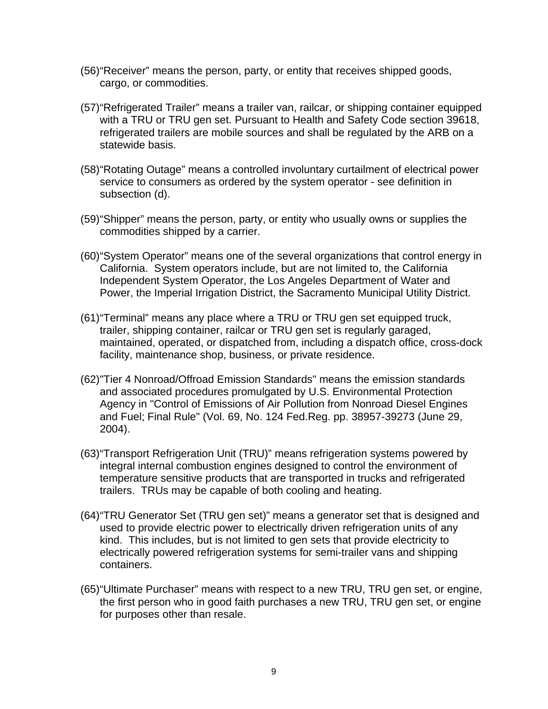- (56) "Receiver" means the person, party, or entity that receives shipped goods, cargo, or commodities.
- (57) "Refrigerated Trailer" means a trailer van, railcar, or shipping container equipped with a TRU or TRU gen set. Pursuant to Health and Safety Code section 39618, refrigerated trailers are mobile sources and shall be regulated by the ARB on a statewide basis.
- (58) "Rotating Outage" means a controlled involuntary curtailment of electrical power service to consumers as ordered by the system operator - see definition in subsection (d).
- (59) "Shipper" means the person, party, or entity who usually owns or supplies the commodities shipped by a carrier.
- (60) "System Operator" means one of the several organizations that control energy in California. System operators include, but are not limited to, the California Independent System Operator, the Los Angeles Department of Water and Power, the Imperial Irrigation District, the Sacramento Municipal Utility District.
- (61) "Terminal" means any place where a TRU or TRU gen set equipped truck, trailer, shipping container, railcar or TRU gen set is regularly garaged, maintained, operated, or dispatched from, including a dispatch office, cross-dock facility, maintenance shop, business, or private residence.
- (62) "Tier 4 Nonroad/Offroad Emission Standards" means the emission standards and associated procedures promulgated by U.S. Environmental Protection Agency in "Control of Emissions of Air Pollution from Nonroad Diesel Engines and Fuel; Final Rule" (Vol. 69, No. 124 Fed.Reg. pp. 38957-39273 (June 29, 2004).
- (63) "Transport Refrigeration Unit (TRU)" means refrigeration systems powered by integral internal combustion engines designed to control the environment of temperature sensitive products that are transported in trucks and refrigerated trailers. TRUs may be capable of both cooling and heating.
- (64) "TRU Generator Set (TRU gen set)" means a generator set that is designed and used to provide electric power to electrically driven refrigeration units of any kind. This includes, but is not limited to gen sets that provide electricity to electrically powered refrigeration systems for semi-trailer vans and shipping containers.
- (65) "Ultimate Purchaser" means with respect to a new TRU, TRU gen set, or engine, the first person who in good faith purchases a new TRU, TRU gen set, or engine for purposes other than resale.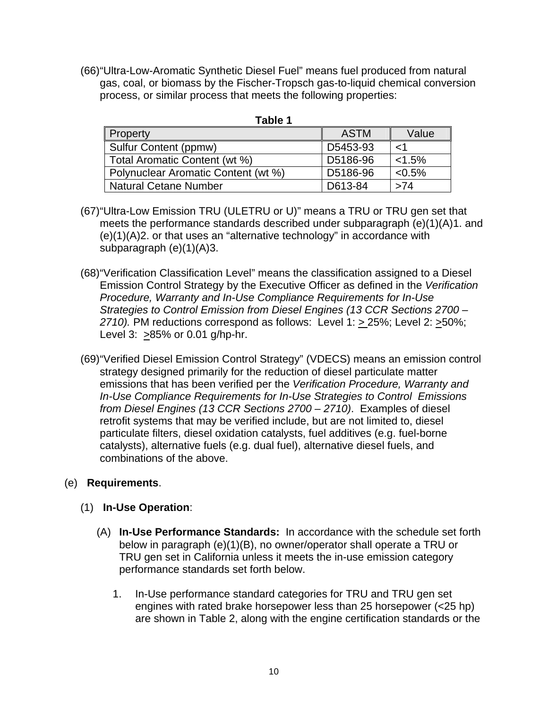(66) "Ultra-Low-Aromatic Synthetic Diesel Fuel" means fuel produced from natural gas, coal, or biomass by the Fischer-Tropsch gas-to-liquid chemical conversion process, or similar process that meets the following properties:

| U.<br>- |  |
|---------|--|
|---------|--|

| Property                            | <b>ASTM</b> | Value     |
|-------------------------------------|-------------|-----------|
| Sulfur Content (ppmw)               | D5453-93    |           |
| Total Aromatic Content (wt %)       | D5186-96    | < 1.5%    |
| Polynuclear Aromatic Content (wt %) | D5186-96    | $< 0.5\%$ |
| <b>Natural Cetane Number</b>        | D613-84     | >74       |

- (67) "Ultra-Low Emission TRU (ULETRU or U)" means a TRU or TRU gen set that meets the performance standards described under subparagraph (e)(1)(A)1. and (e)(1)(A)2. or that uses an "alternative technology" in accordance with subparagraph (e)(1)(A)3.
- (68) "Verification Classification Level" means the classification assigned to a Diesel Emission Control Strategy by the Executive Officer as defined in the *Verification Procedure, Warranty and In-Use Compliance Requirements for In-Use Strategies to Control Emission from Diesel Engines (13 CCR Sections 2700 – 2710).* PM reductions correspond as follows: Level 1: > 25%; Level 2: >50%; Level 3: >85% or 0.01 g/hp-hr.
- (69) "Verified Diesel Emission Control Strategy" (VDECS) means an emission control strategy designed primarily for the reduction of diesel particulate matter emissions that has been verified per the *Verification Procedure, Warranty and In-Use Compliance Requirements for In-Use Strategies to Control Emissions from Diesel Engines (13 CCR Sections 2700 – 2710)*. Examples of diesel retrofit systems that may be verified include, but are not limited to, diesel particulate filters, diesel oxidation catalysts, fuel additives (e.g. fuel-borne catalysts), alternative fuels (e.g. dual fuel), alternative diesel fuels, and combinations of the above.

# (e) **Requirements**.

- (1) **In-Use Operation**:
	- (A) **In-Use Performance Standards:** In accordance with the schedule set forth below in paragraph (e)(1)(B), no owner/operator shall operate a TRU or TRU gen set in California unless it meets the in-use emission category performance standards set forth below.
		- 1. In-Use performance standard categories for TRU and TRU gen set engines with rated brake horsepower less than 25 horsepower (<25 hp) are shown in Table 2, along with the engine certification standards or the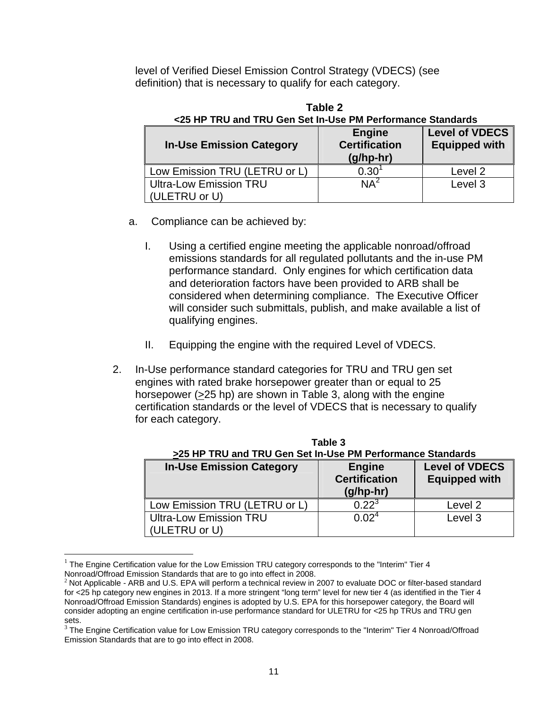level of Verified Diesel Emission Control Strategy (VDECS) (see definition) that is necessary to qualify for each category.

| <25 HP TRU and TRU Gen Set In-Use PM Performance Standards |                                                      |                                               |  |  |  |  |  |  |  |  |  |
|------------------------------------------------------------|------------------------------------------------------|-----------------------------------------------|--|--|--|--|--|--|--|--|--|
| <b>In-Use Emission Category</b>                            | <b>Engine</b><br><b>Certification</b><br>$(g/hp-hr)$ | <b>Level of VDECS</b><br><b>Equipped with</b> |  |  |  |  |  |  |  |  |  |
| Low Emission TRU (LETRU or L)                              | 0.30                                                 | Level 2                                       |  |  |  |  |  |  |  |  |  |
| <b>Ultra-Low Emission TRU</b><br>(ULETRU or U)             | $NA^2$                                               | Level 3                                       |  |  |  |  |  |  |  |  |  |

 **Table 2** 

- a. Compliance can be achieved by:
	- I. Using a certified engine meeting the applicable nonroad/offroad emissions standards for all regulated pollutants and the in-use PM performance standard. Only engines for which certification data and deterioration factors have been provided to ARB shall be considered when determining compliance. The Executive Officer will consider such submittals, publish, and make available a list of qualifying engines.
	- II. Equipping the engine with the required Level of VDECS.
- 2. In-Use performance standard categories for TRU and TRU gen set engines with rated brake horsepower greater than or equal to 25 horsepower (>25 hp) are shown in Table 3, along with the engine certification standards or the level of VDECS that is necessary to qualify for each category.

| >25 HP TRU and TRU Gen Set In-Use PM Performance Standards |                                                      |                                               |  |  |  |  |  |  |  |  |  |
|------------------------------------------------------------|------------------------------------------------------|-----------------------------------------------|--|--|--|--|--|--|--|--|--|
| <b>In-Use Emission Category</b>                            | <b>Engine</b><br><b>Certification</b><br>$(g/hp-hr)$ | <b>Level of VDECS</b><br><b>Equipped with</b> |  |  |  |  |  |  |  |  |  |
| Low Emission TRU (LETRU or L)                              | $0.22^{3}$                                           | Level 2                                       |  |  |  |  |  |  |  |  |  |
| <b>Ultra-Low Emission TRU</b><br>(ULETRU or U)             | 0.02 <sup>4</sup>                                    | Level 3                                       |  |  |  |  |  |  |  |  |  |

**Table 3 Table 3 >25 HP TRU and TRU Gen Set In-Use PM Performance Standards**

 $\overline{a}$ 

<sup>&</sup>lt;sup>1</sup> The Engine Certification value for the Low Emission TRU category corresponds to the "Interim" Tier 4 Nonroad/Offroad Emission Standards that are to go into effect in 2008.

 $2$  Not Applicable - ARB and U.S. EPA will perform a technical review in 2007 to evaluate DOC or filter-based standard for <25 hp category new engines in 2013. If a more stringent "long term" level for new tier 4 (as identified in the Tier 4 Nonroad/Offroad Emission Standards) engines is adopted by U.S. EPA for this horsepower category, the Board will consider adopting an engine certification in-use performance standard for ULETRU for <25 hp TRUs and TRU gen sets.

<sup>&</sup>lt;sup>3</sup> The Engine Certification value for Low Emission TRU category corresponds to the "Interim" Tier 4 Nonroad/Offroad Emission Standards that are to go into effect in 2008.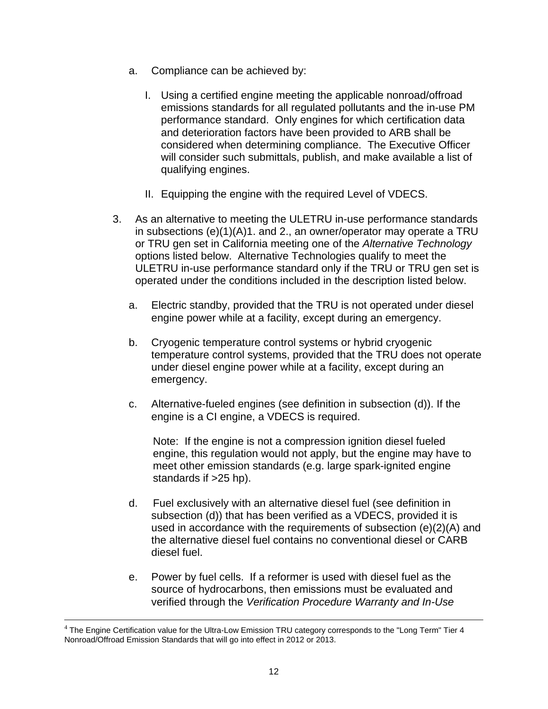- a. Compliance can be achieved by:
	- I. Using a certified engine meeting the applicable nonroad/offroad emissions standards for all regulated pollutants and the in-use PM performance standard. Only engines for which certification data and deterioration factors have been provided to ARB shall be considered when determining compliance. The Executive Officer will consider such submittals, publish, and make available a list of qualifying engines.
	- II. Equipping the engine with the required Level of VDECS.
- 3. As an alternative to meeting the ULETRU in-use performance standards in subsections (e)(1)(A)1. and 2., an owner/operator may operate a TRU or TRU gen set in California meeting one of the *Alternative Technology*  options listed below. Alternative Technologies qualify to meet the ULETRU in-use performance standard only if the TRU or TRU gen set is operated under the conditions included in the description listed below.
	- a. Electric standby, provided that the TRU is not operated under diesel engine power while at a facility, except during an emergency.
	- b. Cryogenic temperature control systems or hybrid cryogenic temperature control systems, provided that the TRU does not operate under diesel engine power while at a facility, except during an emergency.
	- c. Alternative-fueled engines (see definition in subsection (d)). If the engine is a CI engine, a VDECS is required.

Note: If the engine is not a compression ignition diesel fueled engine, this regulation would not apply, but the engine may have to meet other emission standards (e.g. large spark-ignited engine standards if  $>25$  hp).

- d. Fuel exclusively with an alternative diesel fuel (see definition in subsection (d)) that has been verified as a VDECS, provided it is used in accordance with the requirements of subsection (e)(2)(A) and the alternative diesel fuel contains no conventional diesel or CARB diesel fuel.
- e. Power by fuel cells. If a reformer is used with diesel fuel as the source of hydrocarbons, then emissions must be evaluated and verified through the *Verification Procedure Warranty and In-Use*

 $4$  The Engine Certification value for the Ultra-Low Emission TRU category corresponds to the "Long Term" Tier 4 Nonroad/Offroad Emission Standards that will go into effect in 2012 or 2013.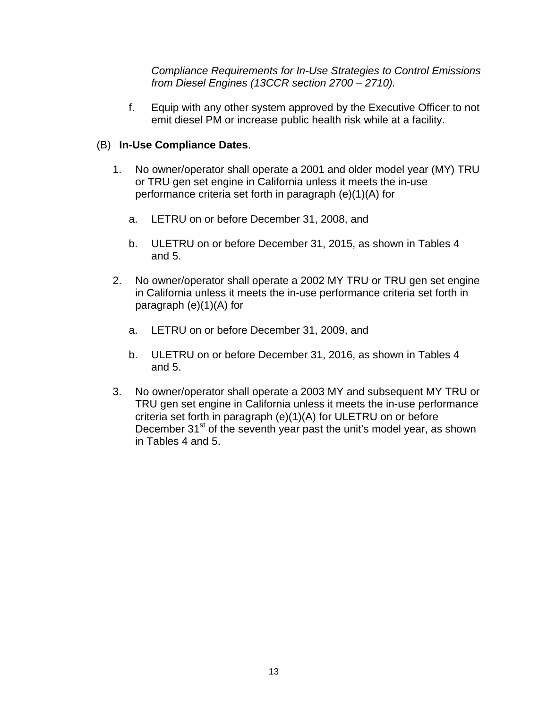*Compliance Requirements for In-Use Strategies to Control Emissions from Diesel Engines (13CCR section 2700 – 2710).*

f. Equip with any other system approved by the Executive Officer to not emit diesel PM or increase public health risk while at a facility.

# (B) **In-Use Compliance Dates**.

- 1. No owner/operator shall operate a 2001 and older model year (MY) TRU or TRU gen set engine in California unless it meets the in-use performance criteria set forth in paragraph (e)(1)(A) for
	- a. LETRU on or before December 31, 2008, and
	- b. ULETRU on or before December 31, 2015, as shown in Tables 4 and 5.
- 2. No owner/operator shall operate a 2002 MY TRU or TRU gen set engine in California unless it meets the in-use performance criteria set forth in paragraph (e)(1)(A) for
	- a. LETRU on or before December 31, 2009, and
	- b. ULETRU on or before December 31, 2016, as shown in Tables 4 and 5.
- 3. No owner/operator shall operate a 2003 MY and subsequent MY TRU or TRU gen set engine in California unless it meets the in-use performance criteria set forth in paragraph (e)(1)(A) for ULETRU on or before December 31<sup>st</sup> of the seventh year past the unit's model year, as shown in Tables 4 and 5.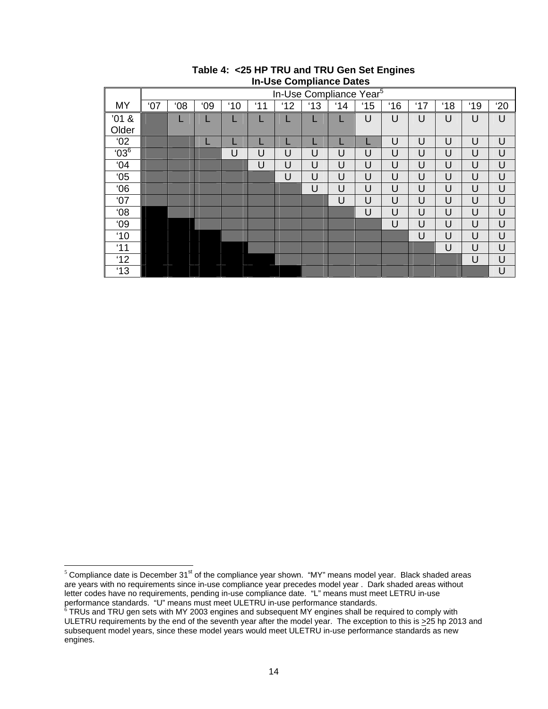|                |     |                                     |    |     |     |     |     | <b>III-USE COMPRESS</b> |    |     |     |     |     |     |
|----------------|-----|-------------------------------------|----|-----|-----|-----|-----|-------------------------|----|-----|-----|-----|-----|-----|
|                |     | In-Use Compliance Year <sup>5</sup> |    |     |     |     |     |                         |    |     |     |     |     |     |
| <b>MY</b>      | '07 | 08'                                 | 09 | '10 | '11 | '12 | '13 | '14                     | 15 | '16 | '17 | '18 | '19 | '20 |
| '01 &<br>Older |     |                                     |    | L   | ட   |     | L   |                         | U  | U   | U   | U   | U   | U   |
| $^{\circ}$ 02  |     |                                     |    |     |     |     |     |                         |    | U   | U   | U   | U   | U   |
| $^{6}$         |     |                                     |    | U   | U   | U   | U   | U                       | U  | U   | U   | U   | U   | U   |
| 04'            |     |                                     |    |     | U   | U   | U   | U                       | U  | U   | U   | U   | U   | U   |
| 05             |     |                                     |    |     |     | U   | U   | U                       | U  | U   | U   | U   | U   | U   |
| 06'            |     |                                     |    |     |     |     | U   | U                       | U  | U   | U   | U   | U   | U   |
| '07            |     |                                     |    |     |     |     |     | U                       | U  | U   | U   | U   | U   | U   |
| 08'            |     |                                     |    |     |     |     |     |                         | U  | U   | U   | U   | U   | U   |
| 09             |     |                                     |    |     |     |     |     |                         |    | U   | U   | U   | U   | U   |
| '10            |     |                                     |    |     |     |     |     |                         |    |     | U   | U   | U   | U   |
| '11            |     |                                     |    |     |     |     |     |                         |    |     |     | U   | U   | U   |
| 12             |     |                                     |    |     |     |     |     |                         |    |     |     |     | U   | U   |
| '13            |     |                                     |    |     |     |     |     |                         |    |     |     |     |     | U   |

#### **Table 4: <25 HP TRU and TRU Gen Set Engines In-Use Compliance Dates**

 $\overline{a}$ <sup>5</sup> Compliance date is December 31<sup>st</sup> of the compliance year shown. "MY" means model year. Black shaded areas are years with no requirements since in-use compliance year precedes model year . Dark shaded areas without letter codes have no requirements, pending in-use compliance date. "L" means must meet LETRU in-use performance standards. "U" means must meet ULETRU in-use performance standards.<br><sup>6</sup> TRUs and TRU gen sets with MY 2003 engines and subsequent MY engines shall be required to comply with

ULETRU requirements by the end of the seventh year after the model year. The exception to this is >25 hp 2013 and subsequent model years, since these model years would meet ULETRU in-use performance standards as new engines.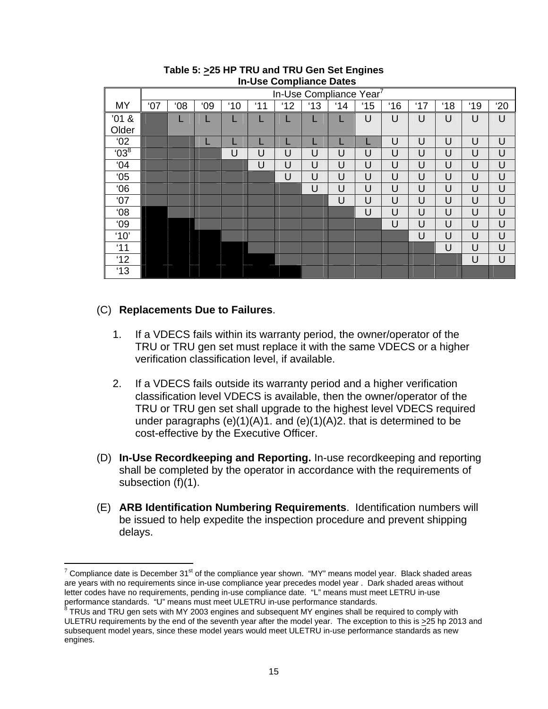|                 |     |                        |    |     |     |    |     | <b>III</b> OSC OUITINIRITUS DATUS |     |     |     |     |     |     |
|-----------------|-----|------------------------|----|-----|-----|----|-----|-----------------------------------|-----|-----|-----|-----|-----|-----|
|                 |     | In-Use Compliance Year |    |     |     |    |     |                                   |     |     |     |     |     |     |
| MY              | '07 | 08'                    | 09 | '10 | '11 | 12 | '13 | '14                               | '15 | '16 | '17 | '18 | '19 | '20 |
| '01 &           |     |                        | L  |     |     |    |     |                                   | U   | U   | U   | U   | U   | U   |
| Older           |     |                        |    |     |     |    |     |                                   |     |     |     |     |     |     |
| 02'             |     |                        | L  |     |     |    |     |                                   |     | U   | U   | U   | U   | U   |
| $^{6}$ $03^{8}$ |     |                        |    | U   | U   | U  | U   | U                                 | U   | U   | U   | U   | U   | U   |
| 04              |     |                        |    |     | U   | U  | U   | U                                 | U   | U   | U   | U   | U   | U   |
| 05              |     |                        |    |     |     | U  | U   | U                                 | U   | U   | U   | U   | U   | U   |
| 06'             |     |                        |    |     |     |    | U   | U                                 | U   | U   | U   | U   | U   | U   |
| '07             |     |                        |    |     |     |    |     | U                                 | U   | U   | U   | U   | U   | U   |
| 08'             |     |                        |    |     |     |    |     |                                   | U   | U   | U   | U   | U   | U   |
| 09              |     |                        |    |     |     |    |     |                                   |     | U   | U   | U   | U   | U   |
| '10'            |     |                        |    |     |     |    |     |                                   |     |     | U   | U   | U   | U   |
| '11             |     |                        |    |     |     |    |     |                                   |     |     |     | U   | U   | U   |
| '12             |     |                        |    |     |     |    |     |                                   |     |     |     |     | U   | U   |
| '13             |     |                        |    |     |     |    |     |                                   |     |     |     |     |     |     |
|                 |     |                        |    |     |     |    |     |                                   |     |     |     |     |     |     |

#### **Table 5: >25 HP TRU and TRU Gen Set Engines In-Use Compliance Dates**

## (C) **Replacements Due to Failures**.

 $\overline{a}$ 

- 1. If a VDECS fails within its warranty period, the owner/operator of the TRU or TRU gen set must replace it with the same VDECS or a higher verification classification level, if available.
- 2. If a VDECS fails outside its warranty period and a higher verification classification level VDECS is available, then the owner/operator of the TRU or TRU gen set shall upgrade to the highest level VDECS required under paragraphs  $(e)(1)(A)1$ . and  $(e)(1)(A)2$ . that is determined to be cost-effective by the Executive Officer.
- (D) **In-Use Recordkeeping and Reporting.** In-use recordkeeping and reporting shall be completed by the operator in accordance with the requirements of subsection (f)(1).
- (E) **ARB Identification Numbering Requirements**. Identification numbers will be issued to help expedite the inspection procedure and prevent shipping delays.

<sup>&</sup>lt;sup>7</sup> Compliance date is December 31<sup>st</sup> of the compliance year shown. "MY" means model year. Black shaded areas are years with no requirements since in-use compliance year precedes model year . Dark shaded areas without letter codes have no requirements, pending in-use compliance date. "L" means must meet LETRU in-use performance standards. "U" means must meet ULETRU in-use performance standards.

 $^8$  TRUs and TRU gen sets with MY 2003 engines and subsequent MY engines shall be required to comply with ULETRU requirements by the end of the seventh year after the model year. The exception to this is >25 hp 2013 and subsequent model years, since these model years would meet ULETRU in-use performance standards as new engines.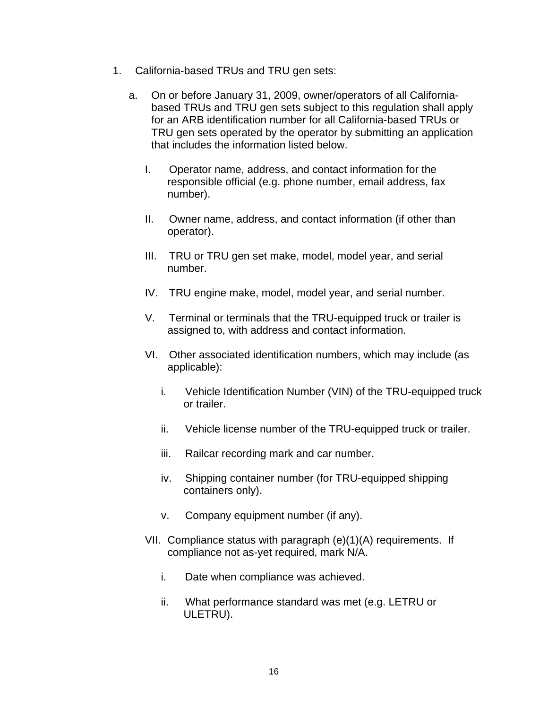- 1. California-based TRUs and TRU gen sets:
	- a. On or before January 31, 2009, owner/operators of all Californiabased TRUs and TRU gen sets subject to this regulation shall apply for an ARB identification number for all California-based TRUs or TRU gen sets operated by the operator by submitting an application that includes the information listed below.
		- I. Operator name, address, and contact information for the responsible official (e.g. phone number, email address, fax number).
		- II. Owner name, address, and contact information (if other than operator).
		- III. TRU or TRU gen set make, model, model year, and serial number.
		- IV. TRU engine make, model, model year, and serial number.
		- V. Terminal or terminals that the TRU-equipped truck or trailer is assigned to, with address and contact information.
		- VI. Other associated identification numbers, which may include (as applicable):
			- i. Vehicle Identification Number (VIN) of the TRU-equipped truck or trailer.
			- ii. Vehicle license number of the TRU-equipped truck or trailer.
			- iii. Railcar recording mark and car number.
			- iv. Shipping container number (for TRU-equipped shipping containers only).
			- v. Company equipment number (if any).
		- VII. Compliance status with paragraph (e)(1)(A) requirements. If compliance not as-yet required, mark N/A.
			- i. Date when compliance was achieved.
			- ii. What performance standard was met (e.g. LETRU or ULETRU).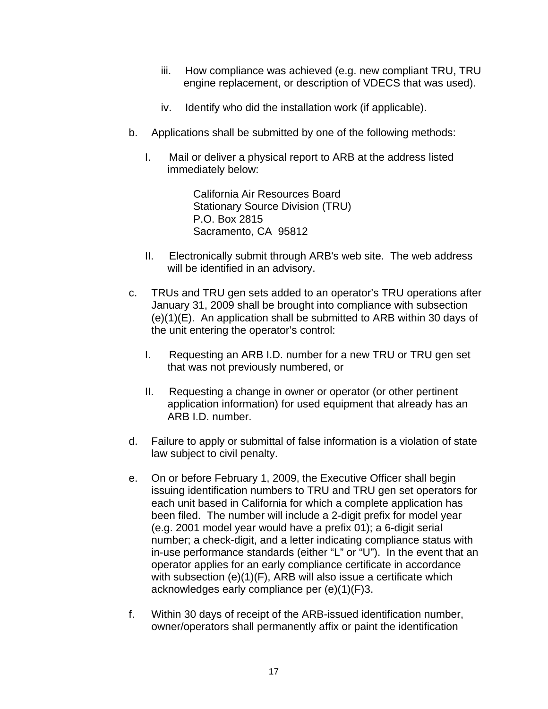- iii. How compliance was achieved (e.g. new compliant TRU, TRU engine replacement, or description of VDECS that was used).
- iv. Identify who did the installation work (if applicable).
- b. Applications shall be submitted by one of the following methods:
	- I. Mail or deliver a physical report to ARB at the address listed immediately below:

California Air Resources Board Stationary Source Division (TRU) P.O. Box 2815 Sacramento, CA 95812

- II. Electronically submit through ARB's web site. The web address will be identified in an advisory.
- c. TRUs and TRU gen sets added to an operator's TRU operations after January 31, 2009 shall be brought into compliance with subsection (e)(1)(E). An application shall be submitted to ARB within 30 days of the unit entering the operator's control:
	- I. Requesting an ARB I.D. number for a new TRU or TRU gen set that was not previously numbered, or
	- II. Requesting a change in owner or operator (or other pertinent application information) for used equipment that already has an ARB I.D. number.
- d. Failure to apply or submittal of false information is a violation of state law subject to civil penalty.
- e. On or before February 1, 2009, the Executive Officer shall begin issuing identification numbers to TRU and TRU gen set operators for each unit based in California for which a complete application has been filed. The number will include a 2-digit prefix for model year (e.g. 2001 model year would have a prefix 01); a 6-digit serial number; a check-digit, and a letter indicating compliance status with in-use performance standards (either "L" or "U"). In the event that an operator applies for an early compliance certificate in accordance with subsection (e)(1)(F), ARB will also issue a certificate which acknowledges early compliance per (e)(1)(F)3.
- f. Within 30 days of receipt of the ARB-issued identification number, owner/operators shall permanently affix or paint the identification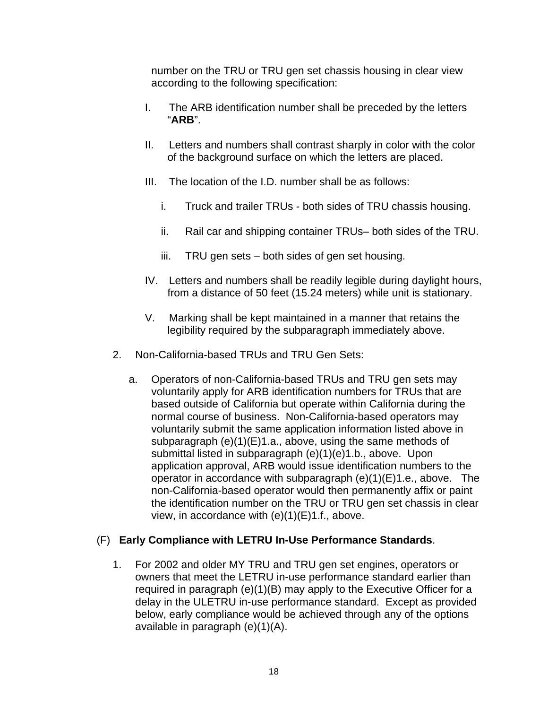number on the TRU or TRU gen set chassis housing in clear view according to the following specification:

- I. The ARB identification number shall be preceded by the letters "**ARB**".
- II. Letters and numbers shall contrast sharply in color with the color of the background surface on which the letters are placed.
- III. The location of the I.D. number shall be as follows:
	- i. Truck and trailer TRUs both sides of TRU chassis housing.
	- ii. Rail car and shipping container TRUs– both sides of the TRU.
	- iii. TRU gen sets both sides of gen set housing.
- IV. Letters and numbers shall be readily legible during daylight hours, from a distance of 50 feet (15.24 meters) while unit is stationary.
- V. Marking shall be kept maintained in a manner that retains the legibility required by the subparagraph immediately above.
- 2. Non-California-based TRUs and TRU Gen Sets:
	- a. Operators of non-California-based TRUs and TRU gen sets may voluntarily apply for ARB identification numbers for TRUs that are based outside of California but operate within California during the normal course of business. Non-California-based operators may voluntarily submit the same application information listed above in subparagraph (e)(1)(E)1.a., above, using the same methods of submittal listed in subparagraph (e)(1)(e)1.b., above. Upon application approval, ARB would issue identification numbers to the operator in accordance with subparagraph (e)(1)(E)1.e., above. The non-California-based operator would then permanently affix or paint the identification number on the TRU or TRU gen set chassis in clear view, in accordance with (e)(1)(E)1.f., above.

# (F) **Early Compliance with LETRU In-Use Performance Standards**.

1. For 2002 and older MY TRU and TRU gen set engines, operators or owners that meet the LETRU in-use performance standard earlier than required in paragraph (e)(1)(B) may apply to the Executive Officer for a delay in the ULETRU in-use performance standard. Except as provided below, early compliance would be achieved through any of the options available in paragraph (e)(1)(A).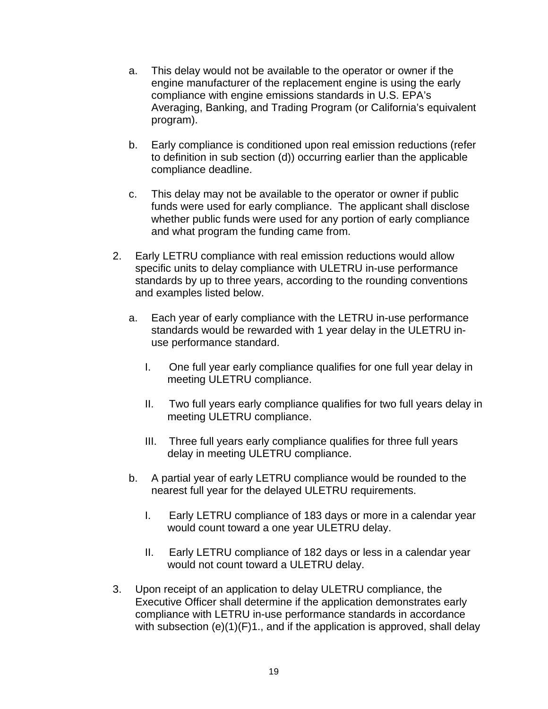- a. This delay would not be available to the operator or owner if the engine manufacturer of the replacement engine is using the early compliance with engine emissions standards in U.S. EPA's Averaging, Banking, and Trading Program (or California's equivalent program).
- b. Early compliance is conditioned upon real emission reductions (refer to definition in sub section (d)) occurring earlier than the applicable compliance deadline.
- c. This delay may not be available to the operator or owner if public funds were used for early compliance. The applicant shall disclose whether public funds were used for any portion of early compliance and what program the funding came from.
- 2. Early LETRU compliance with real emission reductions would allow specific units to delay compliance with ULETRU in-use performance standards by up to three years, according to the rounding conventions and examples listed below.
	- a. Each year of early compliance with the LETRU in-use performance standards would be rewarded with 1 year delay in the ULETRU inuse performance standard.
		- I. One full year early compliance qualifies for one full year delay in meeting ULETRU compliance.
		- II. Two full years early compliance qualifies for two full years delay in meeting ULETRU compliance.
		- III. Three full years early compliance qualifies for three full years delay in meeting ULETRU compliance.
	- b. A partial year of early LETRU compliance would be rounded to the nearest full year for the delayed ULETRU requirements.
		- I. Early LETRU compliance of 183 days or more in a calendar year would count toward a one year ULETRU delay.
		- II. Early LETRU compliance of 182 days or less in a calendar year would not count toward a ULETRU delay.
- 3. Upon receipt of an application to delay ULETRU compliance, the Executive Officer shall determine if the application demonstrates early compliance with LETRU in-use performance standards in accordance with subsection (e)(1)(F)1., and if the application is approved, shall delay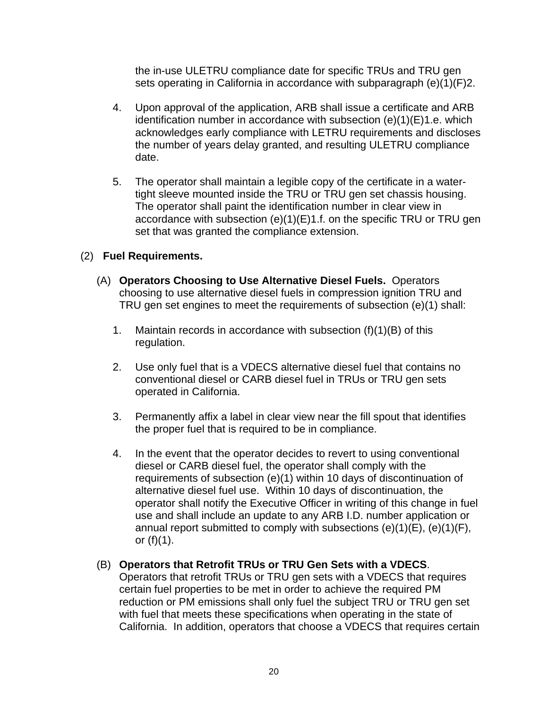the in-use ULETRU compliance date for specific TRUs and TRU gen sets operating in California in accordance with subparagraph (e)(1)(F)2.

- 4. Upon approval of the application, ARB shall issue a certificate and ARB identification number in accordance with subsection (e)(1)(E)1.e. which acknowledges early compliance with LETRU requirements and discloses the number of years delay granted, and resulting ULETRU compliance date.
- 5. The operator shall maintain a legible copy of the certificate in a watertight sleeve mounted inside the TRU or TRU gen set chassis housing. The operator shall paint the identification number in clear view in accordance with subsection (e)(1)(E)1.f. on the specific TRU or TRU gen set that was granted the compliance extension.

# (2) **Fuel Requirements.**

- (A) **Operators Choosing to Use Alternative Diesel Fuels.** Operators choosing to use alternative diesel fuels in compression ignition TRU and TRU gen set engines to meet the requirements of subsection (e)(1) shall:
	- 1. Maintain records in accordance with subsection (f)(1)(B) of this regulation.
	- 2. Use only fuel that is a VDECS alternative diesel fuel that contains no conventional diesel or CARB diesel fuel in TRUs or TRU gen sets operated in California.
	- 3. Permanently affix a label in clear view near the fill spout that identifies the proper fuel that is required to be in compliance.
	- 4. In the event that the operator decides to revert to using conventional diesel or CARB diesel fuel, the operator shall comply with the requirements of subsection (e)(1) within 10 days of discontinuation of alternative diesel fuel use. Within 10 days of discontinuation, the operator shall notify the Executive Officer in writing of this change in fuel use and shall include an update to any ARB I.D. number application or annual report submitted to comply with subsections  $(e)(1)(E)$ ,  $(e)(1)(F)$ , or  $(f)(1)$ .

### (B) **Operators that Retrofit TRUs or TRU Gen Sets with a VDECS**.

Operators that retrofit TRUs or TRU gen sets with a VDECS that requires certain fuel properties to be met in order to achieve the required PM reduction or PM emissions shall only fuel the subject TRU or TRU gen set with fuel that meets these specifications when operating in the state of California. In addition, operators that choose a VDECS that requires certain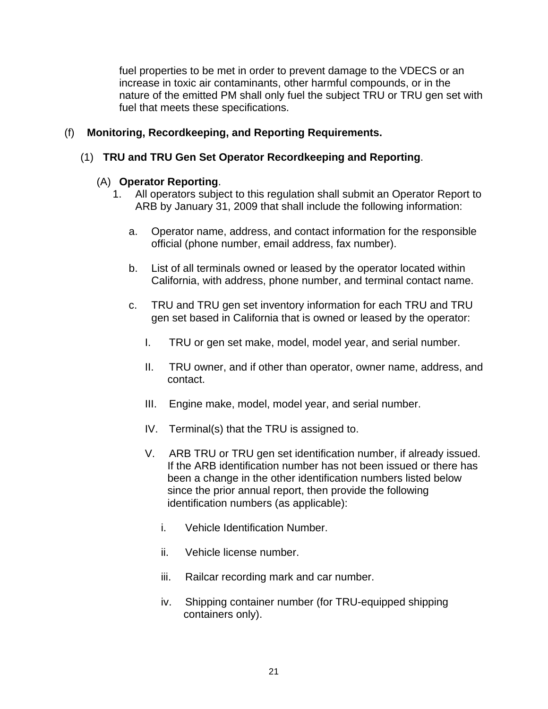fuel properties to be met in order to prevent damage to the VDECS or an increase in toxic air contaminants, other harmful compounds, or in the nature of the emitted PM shall only fuel the subject TRU or TRU gen set with fuel that meets these specifications.

# (f) **Monitoring, Recordkeeping, and Reporting Requirements.**

## (1) **TRU and TRU Gen Set Operator Recordkeeping and Reporting**.

### (A) **Operator Reporting**.

- 1. All operators subject to this regulation shall submit an Operator Report to ARB by January 31, 2009 that shall include the following information:
	- a. Operator name, address, and contact information for the responsible official (phone number, email address, fax number).
	- b. List of all terminals owned or leased by the operator located within California, with address, phone number, and terminal contact name.
	- c. TRU and TRU gen set inventory information for each TRU and TRU gen set based in California that is owned or leased by the operator:
		- I. TRU or gen set make, model, model year, and serial number.
		- II. TRU owner, and if other than operator, owner name, address, and contact.
		- III. Engine make, model, model year, and serial number.
		- IV. Terminal(s) that the TRU is assigned to.
		- V. ARB TRU or TRU gen set identification number, if already issued. If the ARB identification number has not been issued or there has been a change in the other identification numbers listed below since the prior annual report, then provide the following identification numbers (as applicable):
			- i. Vehicle Identification Number.
			- ii. Vehicle license number.
			- iii. Railcar recording mark and car number.
			- iv. Shipping container number (for TRU-equipped shipping containers only).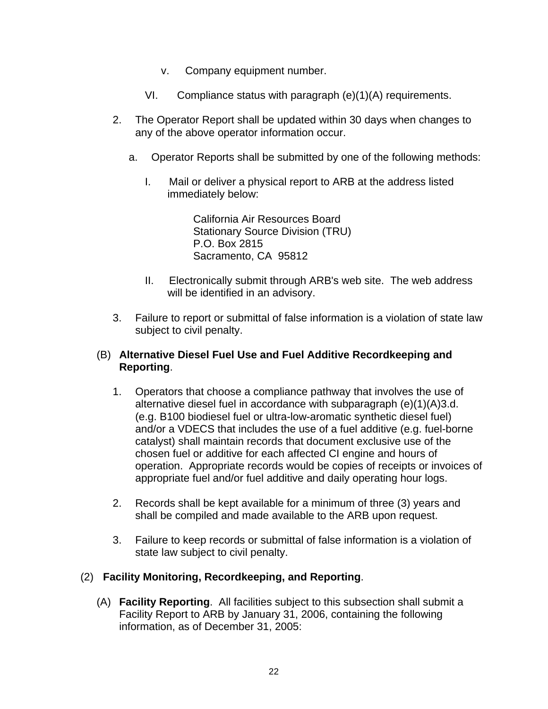- v. Company equipment number.
- VI. Compliance status with paragraph (e)(1)(A) requirements.
- 2. The Operator Report shall be updated within 30 days when changes to any of the above operator information occur.
	- a. Operator Reports shall be submitted by one of the following methods:
		- I. Mail or deliver a physical report to ARB at the address listed immediately below:

California Air Resources Board Stationary Source Division (TRU) P.O. Box 2815 Sacramento, CA 95812

- II. Electronically submit through ARB's web site. The web address will be identified in an advisory.
- 3. Failure to report or submittal of false information is a violation of state law subject to civil penalty.

## (B) **Alternative Diesel Fuel Use and Fuel Additive Recordkeeping and Reporting**.

- 1. Operators that choose a compliance pathway that involves the use of alternative diesel fuel in accordance with subparagraph (e)(1)(A)3.d. (e.g. B100 biodiesel fuel or ultra-low-aromatic synthetic diesel fuel) and/or a VDECS that includes the use of a fuel additive (e.g. fuel-borne catalyst) shall maintain records that document exclusive use of the chosen fuel or additive for each affected CI engine and hours of operation. Appropriate records would be copies of receipts or invoices of appropriate fuel and/or fuel additive and daily operating hour logs.
- 2. Records shall be kept available for a minimum of three (3) years and shall be compiled and made available to the ARB upon request.
- 3. Failure to keep records or submittal of false information is a violation of state law subject to civil penalty.

### (2) **Facility Monitoring, Recordkeeping, and Reporting**.

(A) **Facility Reporting**. All facilities subject to this subsection shall submit a Facility Report to ARB by January 31, 2006, containing the following information, as of December 31, 2005: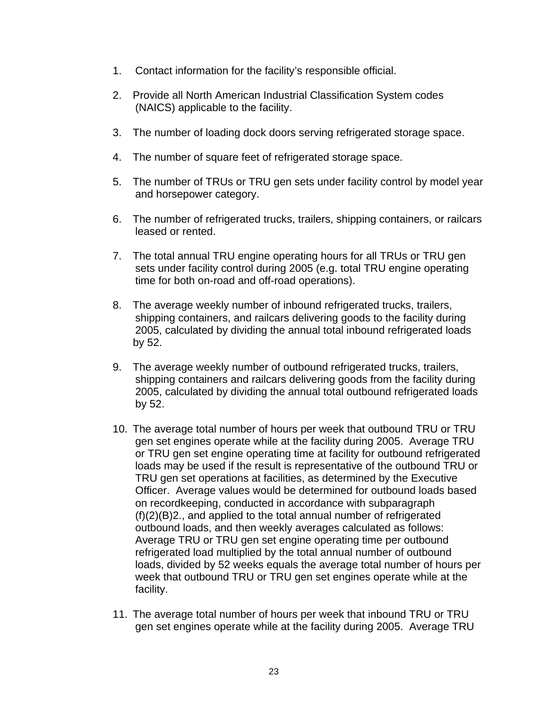- 1. Contact information for the facility's responsible official.
- 2. Provide all North American Industrial Classification System codes (NAICS) applicable to the facility.
- 3. The number of loading dock doors serving refrigerated storage space.
- 4. The number of square feet of refrigerated storage space.
- 5. The number of TRUs or TRU gen sets under facility control by model year and horsepower category.
- 6. The number of refrigerated trucks, trailers, shipping containers, or railcars leased or rented.
- 7. The total annual TRU engine operating hours for all TRUs or TRU gen sets under facility control during 2005 (e.g. total TRU engine operating time for both on-road and off-road operations).
- 8. The average weekly number of inbound refrigerated trucks, trailers, shipping containers, and railcars delivering goods to the facility during 2005, calculated by dividing the annual total inbound refrigerated loads by 52.
- 9. The average weekly number of outbound refrigerated trucks, trailers, shipping containers and railcars delivering goods from the facility during 2005, calculated by dividing the annual total outbound refrigerated loads by 52.
- 10. The average total number of hours per week that outbound TRU or TRU gen set engines operate while at the facility during 2005. Average TRU or TRU gen set engine operating time at facility for outbound refrigerated loads may be used if the result is representative of the outbound TRU or TRU gen set operations at facilities, as determined by the Executive Officer. Average values would be determined for outbound loads based on recordkeeping, conducted in accordance with subparagraph (f)(2)(B)2., and applied to the total annual number of refrigerated outbound loads, and then weekly averages calculated as follows: Average TRU or TRU gen set engine operating time per outbound refrigerated load multiplied by the total annual number of outbound loads, divided by 52 weeks equals the average total number of hours per week that outbound TRU or TRU gen set engines operate while at the facility.
- 11. The average total number of hours per week that inbound TRU or TRU gen set engines operate while at the facility during 2005. Average TRU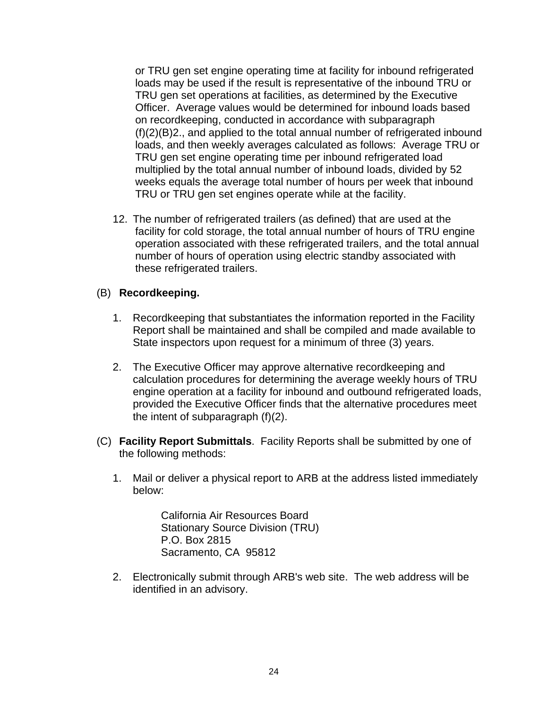or TRU gen set engine operating time at facility for inbound refrigerated loads may be used if the result is representative of the inbound TRU or TRU gen set operations at facilities, as determined by the Executive Officer. Average values would be determined for inbound loads based on recordkeeping, conducted in accordance with subparagraph (f)(2)(B)2., and applied to the total annual number of refrigerated inbound loads, and then weekly averages calculated as follows: Average TRU or TRU gen set engine operating time per inbound refrigerated load multiplied by the total annual number of inbound loads, divided by 52 weeks equals the average total number of hours per week that inbound TRU or TRU gen set engines operate while at the facility.

12. The number of refrigerated trailers (as defined) that are used at the facility for cold storage, the total annual number of hours of TRU engine operation associated with these refrigerated trailers, and the total annual number of hours of operation using electric standby associated with these refrigerated trailers.

## (B) **Recordkeeping.**

- 1. Recordkeeping that substantiates the information reported in the Facility Report shall be maintained and shall be compiled and made available to State inspectors upon request for a minimum of three (3) years.
- 2. The Executive Officer may approve alternative recordkeeping and calculation procedures for determining the average weekly hours of TRU engine operation at a facility for inbound and outbound refrigerated loads, provided the Executive Officer finds that the alternative procedures meet the intent of subparagraph (f)(2).
- (C) **Facility Report Submittals**. Facility Reports shall be submitted by one of the following methods:
	- 1. Mail or deliver a physical report to ARB at the address listed immediately below:

California Air Resources Board Stationary Source Division (TRU) P.O. Box 2815 Sacramento, CA 95812

2. Electronically submit through ARB's web site. The web address will be identified in an advisory.